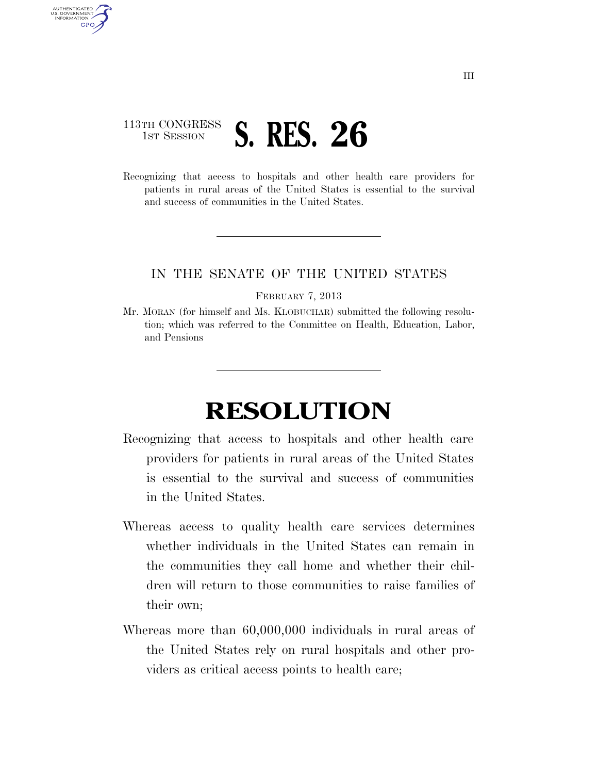## 113TH CONGRESS **1ST SESSION S. RES. 26**

AUTHENTICATED U.S. GOVERNMENT GPO

> Recognizing that access to hospitals and other health care providers for patients in rural areas of the United States is essential to the survival and success of communities in the United States.

## IN THE SENATE OF THE UNITED STATES

FEBRUARY 7, 2013

Mr. MORAN (for himself and Ms. KLOBUCHAR) submitted the following resolution; which was referred to the Committee on Health, Education, Labor, and Pensions

## **RESOLUTION**

- Recognizing that access to hospitals and other health care providers for patients in rural areas of the United States is essential to the survival and success of communities in the United States.
- Whereas access to quality health care services determines whether individuals in the United States can remain in the communities they call home and whether their children will return to those communities to raise families of their own;
- Whereas more than 60,000,000 individuals in rural areas of the United States rely on rural hospitals and other providers as critical access points to health care;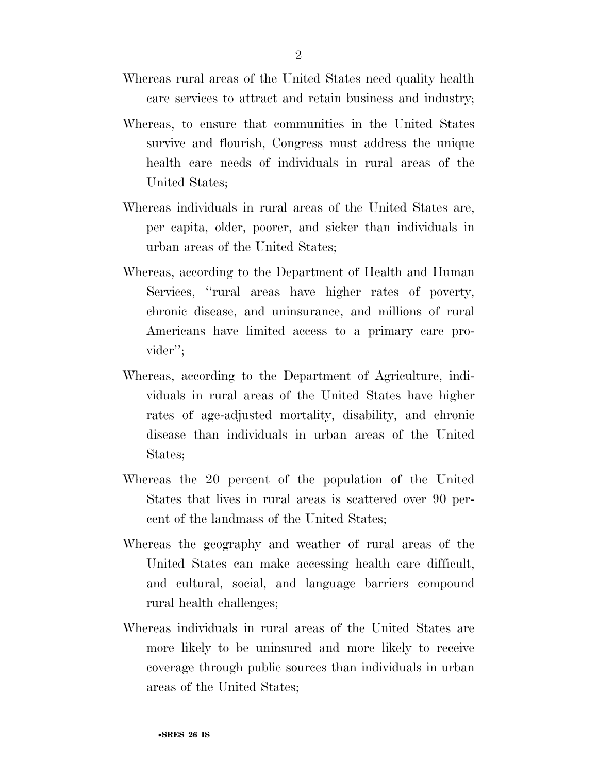- Whereas rural areas of the United States need quality health care services to attract and retain business and industry;
- Whereas, to ensure that communities in the United States survive and flourish, Congress must address the unique health care needs of individuals in rural areas of the United States;
- Whereas individuals in rural areas of the United States are, per capita, older, poorer, and sicker than individuals in urban areas of the United States;
- Whereas, according to the Department of Health and Human Services, ''rural areas have higher rates of poverty, chronic disease, and uninsurance, and millions of rural Americans have limited access to a primary care provider'';
- Whereas, according to the Department of Agriculture, individuals in rural areas of the United States have higher rates of age-adjusted mortality, disability, and chronic disease than individuals in urban areas of the United States;
- Whereas the 20 percent of the population of the United States that lives in rural areas is scattered over 90 percent of the landmass of the United States;
- Whereas the geography and weather of rural areas of the United States can make accessing health care difficult, and cultural, social, and language barriers compound rural health challenges;
- Whereas individuals in rural areas of the United States are more likely to be uninsured and more likely to receive coverage through public sources than individuals in urban areas of the United States;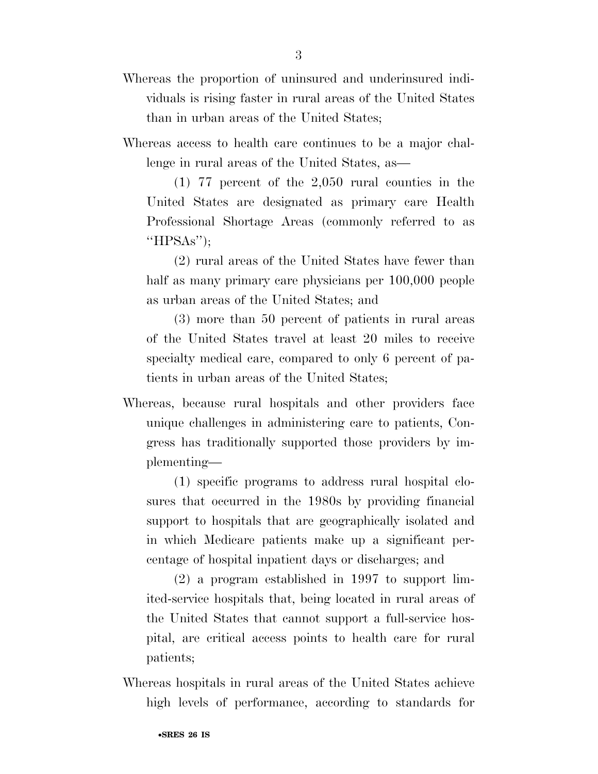Whereas access to health care continues to be a major challenge in rural areas of the United States, as—

(1) 77 percent of the 2,050 rural counties in the United States are designated as primary care Health Professional Shortage Areas (commonly referred to as ''HPSAs'');

(2) rural areas of the United States have fewer than half as many primary care physicians per  $100,000$  people as urban areas of the United States; and

(3) more than 50 percent of patients in rural areas of the United States travel at least 20 miles to receive specialty medical care, compared to only 6 percent of patients in urban areas of the United States;

Whereas, because rural hospitals and other providers face unique challenges in administering care to patients, Congress has traditionally supported those providers by implementing—

(1) specific programs to address rural hospital closures that occurred in the 1980s by providing financial support to hospitals that are geographically isolated and in which Medicare patients make up a significant percentage of hospital inpatient days or discharges; and

(2) a program established in 1997 to support limited-service hospitals that, being located in rural areas of the United States that cannot support a full-service hospital, are critical access points to health care for rural patients;

Whereas hospitals in rural areas of the United States achieve high levels of performance, according to standards for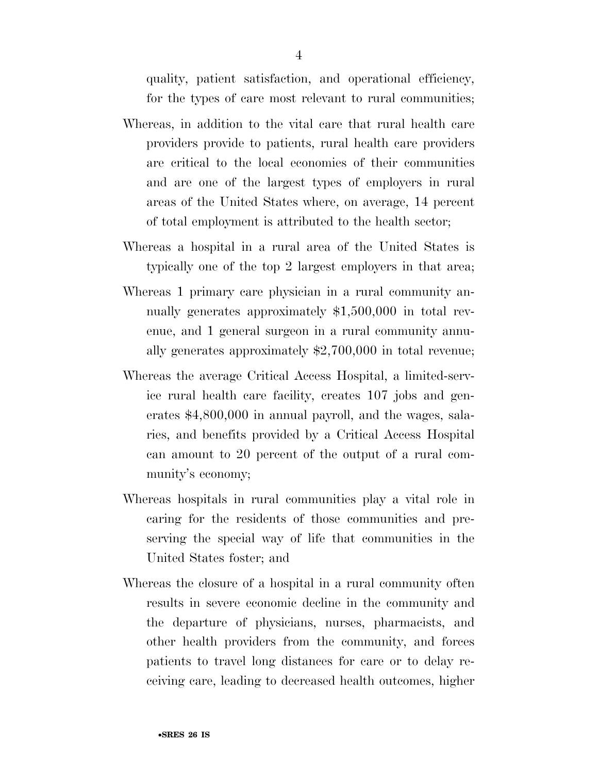quality, patient satisfaction, and operational efficiency, for the types of care most relevant to rural communities;

- Whereas, in addition to the vital care that rural health care providers provide to patients, rural health care providers are critical to the local economies of their communities and are one of the largest types of employers in rural areas of the United States where, on average, 14 percent of total employment is attributed to the health sector;
- Whereas a hospital in a rural area of the United States is typically one of the top 2 largest employers in that area;
- Whereas 1 primary care physician in a rural community annually generates approximately \$1,500,000 in total revenue, and 1 general surgeon in a rural community annually generates approximately \$2,700,000 in total revenue;
- Whereas the average Critical Access Hospital, a limited-service rural health care facility, creates 107 jobs and generates \$4,800,000 in annual payroll, and the wages, salaries, and benefits provided by a Critical Access Hospital can amount to 20 percent of the output of a rural community's economy;
- Whereas hospitals in rural communities play a vital role in caring for the residents of those communities and preserving the special way of life that communities in the United States foster; and
- Whereas the closure of a hospital in a rural community often results in severe economic decline in the community and the departure of physicians, nurses, pharmacists, and other health providers from the community, and forces patients to travel long distances for care or to delay receiving care, leading to decreased health outcomes, higher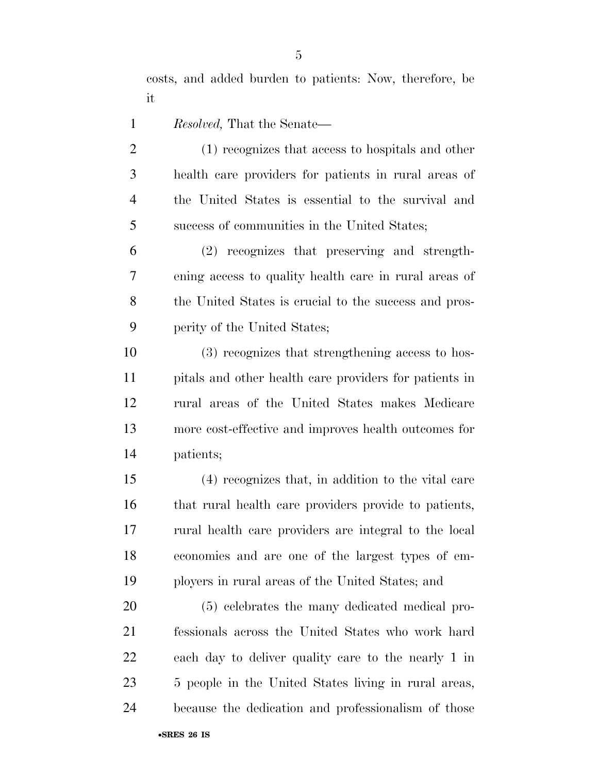costs, and added burden to patients: Now, therefore, be it

- *Resolved,* That the Senate—
- (1) recognizes that access to hospitals and other health care providers for patients in rural areas of the United States is essential to the survival and success of communities in the United States;

 (2) recognizes that preserving and strength- ening access to quality health care in rural areas of 8 the United States is crucial to the success and pros-perity of the United States;

 (3) recognizes that strengthening access to hos- pitals and other health care providers for patients in rural areas of the United States makes Medicare more cost-effective and improves health outcomes for patients;

 (4) recognizes that, in addition to the vital care that rural health care providers provide to patients, rural health care providers are integral to the local economies and are one of the largest types of em-ployers in rural areas of the United States; and

 (5) celebrates the many dedicated medical pro- fessionals across the United States who work hard each day to deliver quality care to the nearly 1 in 5 people in the United States living in rural areas, because the dedication and professionalism of those